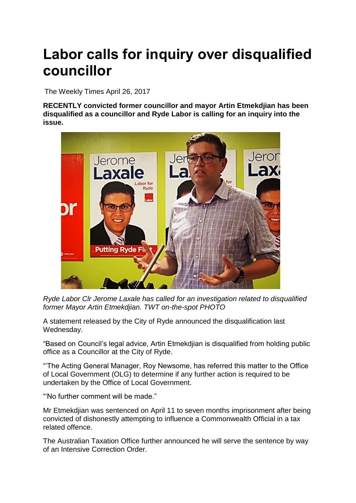## **Labor calls for inquiry over disqualified councillor**

The Weekly Times April 26, 2017

**RECENTLY convicted former councillor and mayor Artin Etmekdjian has been disqualified as a councillor and Ryde Labor is calling for an inquiry into the issue.**



*Ryde Labor Clr Jerome Laxale has called for an investigation related to disqualified former Mayor Artin Etmekdjian. TWT on-the-spot PHOTO*

A statement released by the City of Ryde announced the disqualification last Wednesday.

"Based on Council"s legal advice, Artin Etmekdjian is disqualified from holding public office as a Councillor at the City of Ryde.

""The Acting General Manager, Roy Newsome, has referred this matter to the Office of Local Government (OLG) to determine if any further action is required to be undertaken by the Office of Local Government.

""No further comment will be made."

Mr Etmekdjian was sentenced on April 11 to seven months imprisonment after being convicted of dishonestly attempting to influence a Commonwealth Official in a tax related offence.

The Australian Taxation Office further announced he will serve the sentence by way of an Intensive Correction Order.